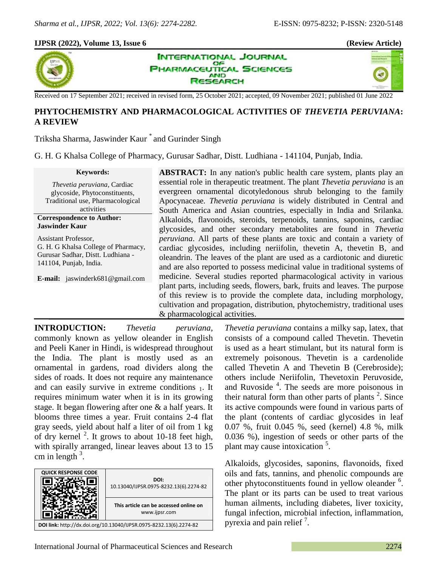40

# **IJPSR (2022), Volume 13, Issue 6 (Review Article)**



**INTERNATIONAL JOURNAL** OF **HARMACEUTICAL SCIENCES AND** SEARCH

Received on 17 September 2021; received in revised form, 25 October 2021; accepted, 09 November 2021; published 01 June 2022

# **PHYTOCHEMISTRY AND PHARMACOLOGICAL ACTIVITIES OF** *THEVETIA PERUVIANA***: A REVIEW**

Triksha Sharma, Jaswinder Kaur \* and Gurinder Singh

G. H. G Khalsa College of Pharmacy, Gurusar Sadhar, Distt. Ludhiana - 141104, Punjab, India.

**Keywords:** *Thevetia peruviana*, Cardiac glycoside, Phytoconstituents, Traditional use, Pharmacological activities **Correspondence to Author: Jaswinder Kaur** Assistant Professor,

G. H. G Khalsa College of Pharmacy, Gurusar Sadhar, Distt. Ludhiana - 141104, Punjab, India.

**E-mail:** jaswinderk681@gmail.com

**ABSTRACT:** In any nation's public health care system, plants play an essential role in therapeutic treatment. The plant *Thevetia peruviana* is an evergreen ornamental dicotyledonous shrub belonging to the family Apocynaceae*. Thevetia peruviana* is widely distributed in Central and South America and Asian countries, especially in India and Srilanka. Alkaloids, flavonoids, steroids, terpenoids, tannins, saponins, cardiac glycosides, and other secondary metabolites are found in *Thevetia peruviana*. All parts of these plants are toxic and contain a variety of cardiac glycosides, including neriifolin, thevetin A, thevetin B, and oleandrin. The leaves of the plant are used as a cardiotonic and diuretic and are also reported to possess medicinal value in traditional systems of medicine. Several studies reported pharmacological activity in various plant parts, including seeds, flowers, bark, fruits and leaves. The purpose of this review is to provide the complete data, including morphology, cultivation and propagation, distribution, phytochemistry, traditional uses & pharmacological activities.

**INTRODUCTION:** *Thevetia peruviana*, commonly known as yellow oleander in English and Peeli Kaner in Hindi, is widespread throughout the India. The plant is mostly used as an ornamental in gardens, road dividers along the sides of roads. It does not require any maintenance and can easily survive in extreme conditions 1. It requires minimum water when it is in its growing stage. It began flowering after one & a half years. It blooms three times a year. Fruit contains 2-4 flat gray seeds, yield about half a liter of oil from 1 kg of dry kernel  $2$ . It grows to about 10-18 feet high, with spirally arranged, linear leaves about 13 to 15 cm in length  $3$ .



*Thevetia peruviana* contains a milky sap, latex, that consists of a compound called Thevetin. Thevetin is used as a heart stimulant, but its natural form is extremely poisonous. Thevetin is a cardenolide called Thevetin A and Thevetin B (Cerebroside); others include Neriifolin, Thevetoxin Peruvoside, and Ruvoside<sup>4</sup>. The seeds are more poisonous in their natural form than other parts of plants  $2$ . Since its active compounds were found in various parts of the plant (contents of cardiac glycosides in leaf 0.07 %, fruit 0.045 %, seed (kernel) 4.8 %, milk 0.036 %), ingestion of seeds or other parts of the plant may cause intoxication<sup>5</sup>.

Alkaloids, glycosides, saponins, flavonoids, fixed oils and fats, tannins, and phenolic compounds are other phytoconstituents found in yellow oleander <sup>6</sup>. The plant or its parts can be used to treat various human ailments, including diabetes, liver toxicity, fungal infection, microbial infection, inflammation, pyrexia and pain relief<sup>7</sup>.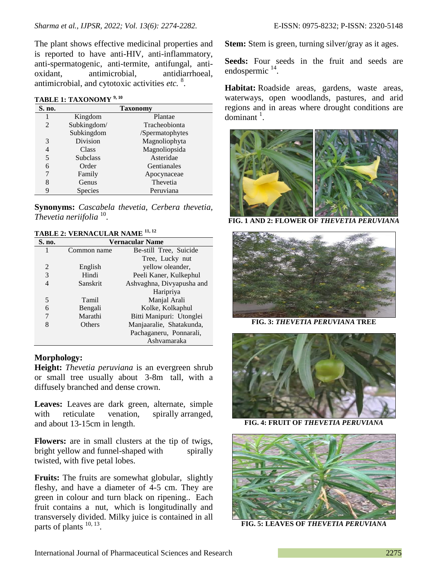The plant shows effective medicinal properties and is reported to have anti-HIV, anti-inflammatory, anti-spermatogenic, anti-termite, antifungal, antioxidant, antimicrobial, antidiarrhoeal, antimicrobial, and cytotoxic activities *etc.* 8 .

#### **TABLE 1: TAXONOMY 9, 10**

| S. no.                      | <b>Taxonomy</b> |                 |
|-----------------------------|-----------------|-----------------|
|                             | Kingdom         | Plantae         |
| $\mathcal{D}_{\mathcal{L}}$ | Subkingdom/     | Tracheobionta   |
|                             | Subkingdom      | /Spermatophytes |
| 3                           | Division        | Magnoliophyta   |
| 4                           | Class           | Magnoliopsida   |
| 5                           | <b>Subclass</b> | Asteridae       |
| 6                           | Order           | Gentianales     |
|                             | Family          | Apocynaceae     |
| 8                           | Genus           | Thevetia        |
| 9                           | <b>Species</b>  | Peruviana       |

**Synonyms:** *Cascabela thevetia, Cerbera thevetia, Thevetia neriifolia*<sup>10</sup>.

## **TABLE 2: VERNACULAR NAME 11, 12**

| S. no. | <b>Vernacular Name</b> |                           |
|--------|------------------------|---------------------------|
| 1      | Common name            | Be-still Tree, Suicide    |
|        |                        | Tree, Lucky nut           |
| 2      | English                | yellow oleander,          |
| 3      | Hindi                  | Peeli Kaner, Kulkephul    |
| 4      | Sanskrit               | Ashvaghna, Divyapusha and |
|        |                        | Haripriya                 |
| 5      | Tamil                  | Manjal Arali              |
| 6      | Bengali                | Kolke, Kolkaphul          |
| 7      | Marathi                | Bitti Manipuri: Utonglei  |
| 8      | Others                 | Manjaaralie, Shatakunda,  |
|        |                        | Pachaganeru, Ponnarali,   |
|        |                        | Ashvamaraka               |

## **Morphology:**

**Height:** *Thevetia peruviana* is an evergreen shrub or small tree usually about 3-8m tall, with a diffusely branched and dense crown.

**Leaves:** Leaves are dark green, alternate, simple with reticulate venation, spirally arranged, and about 13-15cm in length.

**Flowers:** are in small clusters at the tip of twigs, bright yellow and funnel-shaped with spirally twisted, with five petal lobes.

**Fruits:** The fruits are somewhat globular, slightly fleshy, and have a diameter of 4-5 cm. They are green in colour and turn black on ripening.. Each fruit contains a nut, which is longitudinally and transversely divided. Milky juice is contained in all parts of plants  $^{10, 13}$ .

**Stem:** Stem is green, turning silver/gray as it ages.

**Seeds:** Four seeds in the fruit and seeds are endospermic<sup>14</sup>.

**Habitat:** Roadside areas, gardens, waste areas, waterways, open woodlands, pastures, and arid regions and in areas where drought conditions are  $dominant$ <sup>1</sup>.



**FIG. 1 AND 2: FLOWER OF** *THEVETIA PERUVIANA*



**FIG. 3:** *THEVETIA PERUVIANA* **TREE**



**FIG. 4: FRUIT OF** *THEVETIA PERUVIANA*



**FIG. 5: LEAVES OF** *THEVETIA PERUVIANA*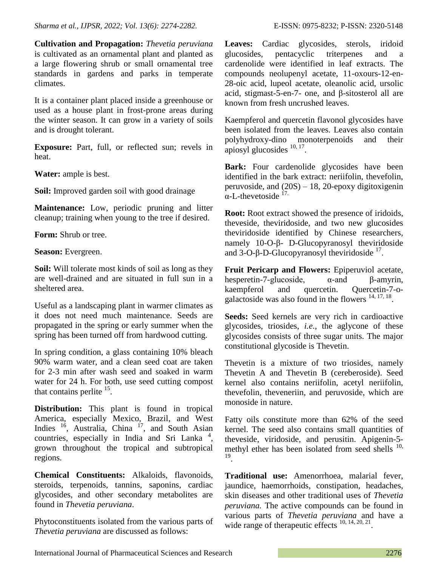**Cultivation and Propagation:** *Thevetia peruviana* is cultivated as an ornamental plant and planted as a large flowering shrub or small ornamental tree standards in gardens and parks in temperate climates.

It is a container plant placed inside a greenhouse or used as a house plant in frost-prone areas during the winter season. It can grow in a variety of soils and is drought tolerant.

**Exposure:** Part, full, or reflected sun; revels in heat.

**Water:** ample is best.

**Soil:** Improved garden soil with good drainage

**Maintenance:** Low, periodic pruning and litter cleanup; training when young to the tree if desired.

**Form:** Shrub or tree.

**Season:** Evergreen.

**Soil:** Will tolerate most kinds of soil as long as they are well-drained and are situated in full sun in a sheltered area.

Useful as a landscaping plant in warmer climates as it does not need much maintenance. Seeds are propagated in the spring or early summer when the spring has been turned off from hardwood cutting.

In spring condition, a glass containing 10% bleach 90% warm water, and a clean seed coat are taken for 2-3 min after wash seed and soaked in warm water for 24 h. For both, use seed cutting compost that contains perlite  $15$ .

**Distribution:** This plant is found in tropical America, especially Mexico, Brazil, and West Indies <sup>16</sup>, Australia, China <sup>17</sup>, and South Asian countries, especially in India and Sri Lanka<sup>4</sup>, grown throughout the tropical and subtropical regions.

**Chemical Constituents:** Alkaloids, flavonoids, steroids, terpenoids, tannins, saponins, cardiac glycosides, and other secondary metabolites are found in *Thevetia peruviana*.

Phytoconstituents isolated from the various parts of *Thevetia peruviana* are discussed as follows:

**Leaves:** Cardiac glycosides, sterols, iridoid glucosides, pentacyclic triterpenes and a cardenolide were identified in leaf extracts. The compounds neolupenyl acetate, 11-oxours-12-en-28-oic acid, lupeol acetate, oleanolic acid, ursolic acid, stigmast-5-en-7- one, and β-sitosterol all are known from fresh uncrushed leaves.

Kaempferol and quercetin flavonol glycosides have been isolated from the leaves. Leaves also contain polyhydroxy-dino monoterpenoids and their apiosyl glucosides  $10, 17$ .

Bark: Four cardenolide glycosides have been identified in the bark extract: neriifolin, thevefolin, peruvoside, and  $(20S) - 18$ , 20-epoxy digitoxigenin  $\alpha$ -L-thevetoside  $^{17}$ .

**Root:** Root extract showed the presence of iridoids, theveside, theviridoside, and two new glucosides theviridoside identified by Chinese researchers, namely 10-O-β- D-Glucopyranosyl theviridoside and 3-O-β-D-Glucopyranosyl theviridoside  $17$ .

**Fruit Pericarp and Flowers:** Epiperuviol acetate, hesperetin-7-glucoside, α-and β-amyrin, kaempferol and quercetin. Quercetin-7-ogalactoside was also found in the flowers  $14, 17, 18$ .

**Seeds:** Seed kernels are very rich in cardioactive glycosides, triosides, *i.e*., the aglycone of these glycosides consists of three sugar units. The major constitutional glycoside is Thevetin.

Thevetin is a mixture of two triosides, namely Thevetin A and Thevetin B (cereberoside). Seed kernel also contains neriifolin, acetyl neriifolin, thevefolin, theveneriin, and peruvoside, which are monoside in nature.

Fatty oils constitute more than 62% of the seed kernel. The seed also contains small quantities of theveside, viridoside, and perusitin. Apigenin-5 methyl ether has been isolated from seed shells  $^{10}$ , 19 .

**Traditional use:** Amenorrhoea, malarial fever, jaundice, haemorrhoids, constipation, headaches, skin diseases and other traditional uses of *Thevetia peruviana.* The active compounds can be found in various parts of *Thevetia peruviana* and have a wide range of therapeutic effects  $10, 14, 20, 21$ .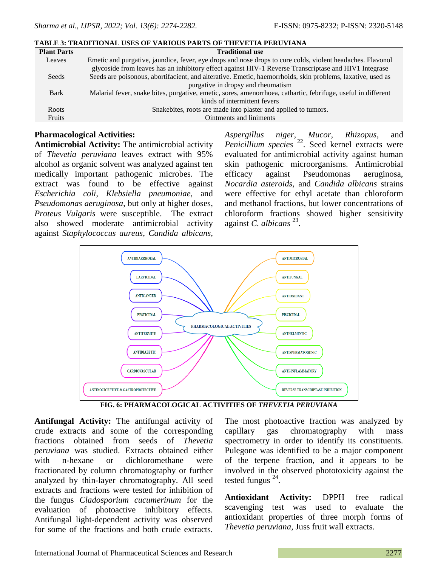| <b>Plant Parts</b> | <b>Traditional use</b>                                                                                        |  |
|--------------------|---------------------------------------------------------------------------------------------------------------|--|
| Leaves             | Emetic and purgative, jaundice, fever, eye drops and nose drops to cure colds, violent headaches. Flavonol    |  |
|                    | glycoside from leaves has an inhibitory effect against HIV-1 Reverse Transcriptase and HIV1 Integrase         |  |
| Seeds              | Seeds are poisonous, abortifacient, and alterative. Emetic, haemorrhoids, skin problems, laxative, used as    |  |
|                    | purgative in dropsy and rheumatism                                                                            |  |
| <b>Bark</b>        | Malarial fever, snake bites, purgative, emetic, sores, amenorrhoea, cathartic, febrifuge, useful in different |  |
|                    | kinds of intermittent fevers                                                                                  |  |
| Roots              | Snakebites, roots are made into plaster and applied to tumors.                                                |  |
| Fruits             | Ointments and liniments                                                                                       |  |

#### **TABLE 3: TRADITIONAL USES OF VARIOUS PARTS OF THEVETIA PERUVIANA**

## **Pharmacological Activities:**

**Antimicrobial Activity:** The antimicrobial activity of *Thevetia peruviana* leaves extract with 95% alcohol as organic solvent was analyzed against ten medically important pathogenic microbes. The extract was found to be effective against *Escherichia coli*, *Klebsiella pneumoniae,* and *Pseudomonas aeruginosa*, but only at higher doses, *Proteus Vulgaris* were susceptible. The extract also showed moderate antimicrobial activity against *Staphylococcus aureus*, *Candida albicans,* 

*Aspergillus niger, Mucor, Rhizopus,* and *Penicillium species* <sup>22</sup>. Seed kernel extracts were evaluated for antimicrobial activity against human skin pathogenic microorganisms. Antimicrobial efficacy against Pseudomonas aeruginosa, *Nocardia asteroids,* and *Candida albicans* strains were effective for ethyl acetate than chloroform and methanol fractions, but lower concentrations of chloroform fractions showed higher sensitivity against *C. albicans*<sup>23</sup>.



**FIG. 6: PHARMACOLOGICAL ACTIVITIES OF** *THEVETIA PERUVIANA*

**Antifungal Activity:** The antifungal activity of crude extracts and some of the corresponding fractions obtained from seeds of *Thevetia peruviana* was studied. Extracts obtained either with n-hexane or dichloromethane were fractionated by column chromatography or further analyzed by thin-layer chromatography. All seed extracts and fractions were tested for inhibition of the fungus *Cladosporium cucumerinum* for the evaluation of photoactive inhibitory effects. Antifungal light-dependent activity was observed for some of the fractions and both crude extracts.

The most photoactive fraction was analyzed by capillary gas chromatography with mass spectrometry in order to identify its constituents. Pulegone was identified to be a major component of the terpene fraction, and it appears to be involved in the observed phototoxicity against the tested fungus  $24$ .

**Antioxidant Activity:** DPPH free radical scavenging test was used to evaluate the antioxidant properties of three morph forms of *Thevetia peruviana*, Juss fruit wall extracts.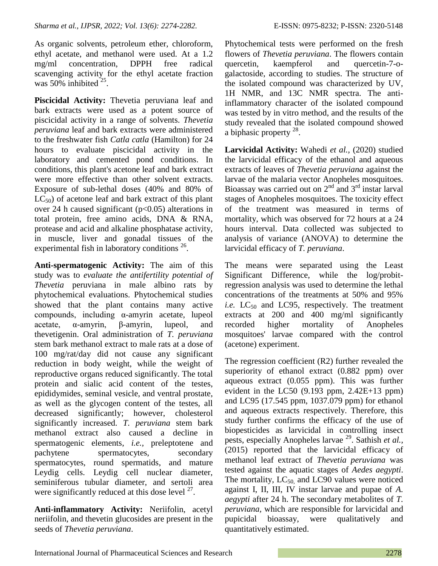As organic solvents, petroleum ether, chloroform, ethyl acetate, and methanol were used. At a 1.2 mg/ml concentration, DPPH free radical scavenging activity for the ethyl acetate fraction was  $50\%$  inhibited<sup>25</sup>.

**Piscicidal Activity:** Thevetia peruviana leaf and bark extracts were used as a potent source of piscicidal activity in a range of solvents. *Thevetia peruviana* leaf and bark extracts were administered to the freshwater fish *Catla catla* (Hamilton) for 24 hours to evaluate piscicidal activity in the laboratory and cemented pond conditions. In conditions, this plant's acetone leaf and bark extract were more effective than other solvent extracts. Exposure of sub-lethal doses (40% and 80% of  $LC_{50}$ ) of acetone leaf and bark extract of this plant over 24 h caused significant ( $p<0.05$ ) alterations in total protein, free amino acids, DNA & RNA, protease and acid and alkaline phosphatase activity, in muscle, liver and gonadal tissues of the experimental fish in laboratory conditions  $26$ .

**Anti-spermatogenic Activity:** The aim of this study was to *evaluate the antifertility potential of Thevetia* peruviana in male albino rats by phytochemical evaluations. Phytochemical studies showed that the plant contains many active compounds, including α-amyrin acetate, lupeol acetate, α-amyrin, β-amyrin, lupeol, and thevetigenin. Oral administration of *T. peruviana* stem bark methanol extract to male rats at a dose of 100 mg/rat/day did not cause any significant reduction in body weight, while the weight of reproductive organs reduced significantly. The total protein and sialic acid content of the testes, epididymides, seminal vesicle, and ventral prostate, as well as the glycogen content of the testes, all decreased significantly; however, cholesterol significantly increased. *T. peruviana* stem bark methanol extract also caused a decline in spermatogenic elements, *i.e.,* preleptotene and pachytene spermatocytes, secondary spermatocytes, round spermatids, and mature Leydig cells. Leydig cell nuclear diameter, seminiferous tubular diameter, and sertoli area were significantly reduced at this dose level  $27$ .

**Anti-inflammatory Activity:** Neriifolin, acetyl neriifolin, and thevetin glucosides are present in the seeds of *Thevetia peruviana*.

Phytochemical tests were performed on the fresh flowers of *Thevetia peruviana*. The flowers contain quercetin, kaempferol and quercetin-7-ogalactoside, according to studies. The structure of the isolated compound was characterized by UV, 1H NMR, and 13C NMR spectra. The antiinflammatory character of the isolated compound was tested by in vitro method, and the results of the study revealed that the isolated compound showed a biphasic property  $^{28}$ .

**Larvicidal Activity:** Wahedi *et al.,* (2020) studied the larvicidal efficacy of the ethanol and aqueous extracts of leaves of *Thevetia peruviana* against the larvae of the malaria vector Anopheles mosquitoes. Bioassay was carried out on  $2<sup>nd</sup>$  and  $3<sup>rd</sup>$  instar larval stages of Anopheles mosquitoes. The toxicity effect of the treatment was measured in terms of mortality, which was observed for 72 hours at a 24 hours interval. Data collected was subjected to analysis of variance (ANOVA) to determine the larvicidal efficacy of *T. peruviana*.

The means were separated using the Least Significant Difference, while the log/probitregression analysis was used to determine the lethal concentrations of the treatments at 50% and 95% *i.e.* LC<sub>50</sub> and LC95, respectively. The treatment extracts at 200 and 400 mg/ml significantly recorded higher mortality of Anopheles mosquitoes' larvae compared with the control (acetone) experiment.

The regression coefficient (R2) further revealed the superiority of ethanol extract (0.882 ppm) over aqueous extract (0.055 ppm). This was further evident in the LC50  $(9.193$  ppm,  $2.42E+13$  ppm) and LC95 (17.545 ppm, 1037.079 ppm) for ethanol and aqueous extracts respectively. Therefore, this study further confirms the efficacy of the use of biopesticides as larvicidal in controlling insect pests, especially Anopheles larvae<sup>29</sup>. Sathish *et al.*, (2015) reported that the larvicidal efficacy of methanol leaf extract of *Thevetia peruviana* was tested against the aquatic stages of *Aedes aegypti*. The mortality,  $LC_{50}$  and  $LC90$  values were noticed against I, II, III, IV instar larvae and pupae of *A. aegypti* after 24 h. The secondary metabolites of *T. peruviana,* which are responsible for larvicidal and pupicidal bioassay, were qualitatively and quantitatively estimated.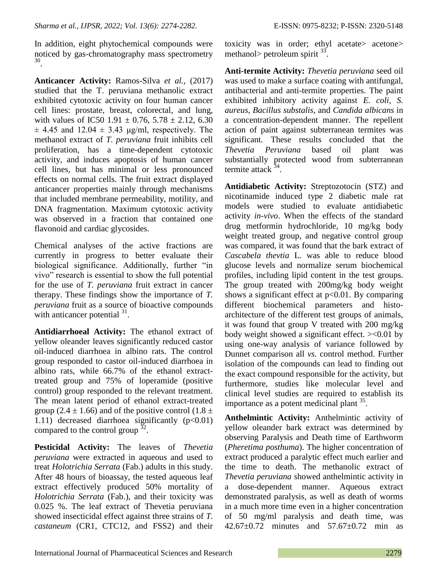In addition, eight phytochemical compounds were noticed by gas-chromatography mass spectrometry 30 .

**Anticancer Activity:** Ramos-Silva *et al.,* (2017) studied that the T. peruviana methanolic extract exhibited cytotoxic activity on four human cancer cell lines: prostate, breast, colorectal, and lung, with values of IC50 1.91  $\pm$  0.76, 5.78  $\pm$  2.12, 6.30  $\pm$  4.45 and 12.04  $\pm$  3.43 μg/ml, respectively. The methanol extract of *T. peruviana* fruit inhibits cell proliferation, has a time-dependent cytotoxic activity, and induces apoptosis of human cancer cell lines, but has minimal or less pronounced effects on normal cells. The fruit extract displayed anticancer properties mainly through mechanisms that included membrane permeability, motility, and DNA fragmentation. Maximum cytotoxic activity was observed in a fraction that contained one flavonoid and cardiac glycosides.

Chemical analyses of the active fractions are currently in progress to better evaluate their biological significance. Additionally, further "in vivo" research is essential to show the full potential for the use of *T. peruviana* fruit extract in cancer therapy. These findings show the importance of *T. peruviana* fruit as a source of bioactive compounds with anticancer potential  $31$ .

**Antidiarrhoeal Activity:** The ethanol extract of yellow oleander leaves significantly reduced castor oil-induced diarrhoea in albino rats. The control group responded to castor oil-induced diarrhoea in albino rats, while 66.7% of the ethanol extracttreated group and 75% of loperamide (positive control) group responded to the relevant treatment. The mean latent period of ethanol extract-treated group (2.4  $\pm$  1.66) and of the positive control (1.8  $\pm$ 1.11) decreased diarrhoea significantly  $(p<0.01)$ compared to the control group  $32$ .

**Pesticidal Activity:** The leaves of *Thevetia peruviana* were extracted in aqueous and used to treat *Holotrichia Serrata* (Fab.) adults in this study. After 48 hours of bioassay, the tested aqueous leaf extract effectively produced 50% mortality of *Holotrichia Serrata* (Fab.), and their toxicity was 0.025 %. The leaf extract of Thevetia peruviana showed insecticidal effect against three strains of *T. castaneum* (CR1, CTC12, and FSS2) and their toxicity was in order; ethyl acetate> acetone> methanol> petroleum spirit  $33$ .

**Anti-termite Activity:** *Thevetia peruviana* seed oil was used to make a surface coating with antifungal, antibacterial and anti-termite properties. The paint exhibited inhibitory activity against *E. coli, S. aureus, Bacillus substalis,* and *Candida albicans* in a concentration-dependent manner. The repellent action of paint against subterranean termites was significant. These results concluded that the *Thevetia Peruviana* based oil plant was substantially protected wood from subterranean termite attack <sup>34</sup>.

**Antidiabetic Activity:** Streptozotocin (STZ) and nicotinamide induced type 2 diabetic male rat models were studied to evaluate antidiabetic activity *in-vivo*. When the effects of the standard drug metformin hydrochloride, 10 mg/kg body weight treated group, and negative control group was compared, it was found that the bark extract of *Cascabela thevtia* L. was able to reduce blood glucose levels and normalize serum biochemical profiles, including lipid content in the test groups. The group treated with 200mg/kg body weight shows a significant effect at  $p<0.01$ . By comparing different biochemical parameters and histoarchitecture of the different test groups of animals, it was found that group V treated with 200 mg/kg body weight showed a significant effect. ><0.01 by using one-way analysis of variance followed by Dunnet comparison all *vs.* control method. Further isolation of the compounds can lead to finding out the exact compound responsible for the activity, but furthermore, studies like molecular level and clinical level studies are required to establish its importance as a potent medicinal plant  $35$ .

**Anthelmintic Activity:** Anthelmintic activity of yellow oleander bark extract was determined by observing Paralysis and Death time of Earthworm (*Pheretima posthuma*). The higher concentration of extract produced a paralytic effect much earlier and the time to death. The methanolic extract of *Thevetia peruviana* showed anthelmintic activity in a dose-dependent manner. Aqueous extract demonstrated paralysis, as well as death of worms in a much more time even in a higher concentration of 50 mg/ml paralysis and death time, was 42.67±0.72 minutes and 57.67±0.72 min as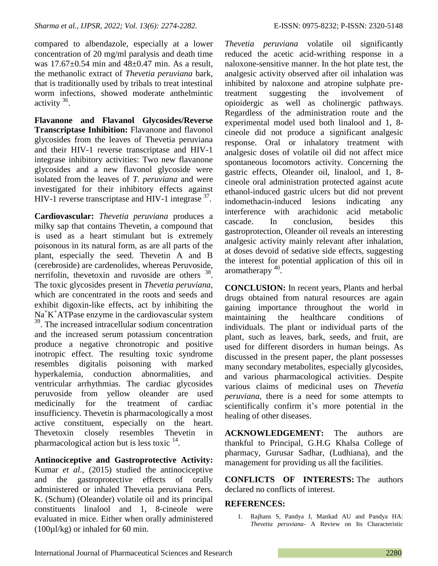compared to albendazole, especially at a lower concentration of 20 mg/ml paralysis and death time was  $17.67 \pm 0.54$  min and  $48 \pm 0.47$  min. As a result, the methanolic extract of *Thevetia peruviana* bark, that is traditionally used by tribals to treat intestinal worm infections, showed moderate anthelmintic activity<sup>36</sup>.

**Flavanone and Flavanol Glycosides/Reverse Transcriptase Inhibition:** Flavanone and flavonol glycosides from the leaves of Thevetia peruviana and their HIV-1 reverse transcriptase and HIV-1 integrase inhibitory activities: Two new flavanone glycosides and a new flavonol glycoside were isolated from the leaves of *T. peruviana* and were investigated for their inhibitory effects against HIV-1 reverse transcriptase and HIV-1 integrase <sup>37</sup>.

**Cardiovascular:** *Thevetia peruviana* produces a milky sap that contains Thevetin, a compound that is used as a heart stimulant but is extremely poisonous in its natural form, as are all parts of the plant, especially the seed. Thevetin A and B (cerebroside) are cardenolides, whereas Peruvoside, nerrifolin, thevetoxin and ruvoside are others <sup>38</sup>. The toxic glycosides present in *Thevetia peruviana*, which are concentrated in the roots and seeds and exhibit digoxin-like effects, act by inhibiting the Na<sup>+</sup>K<sup>+</sup>ATPase enzyme in the cardiovascular system <sup>39</sup>. The increased intracellular sodium concentration and the increased serum potassium concentration produce a negative chronotropic and positive inotropic effect. The resulting toxic syndrome resembles digitalis poisoning with marked hyperkalemia, conduction abnormalities, and ventricular arrhythmias. The cardiac glycosides peruvoside from yellow oleander are used medicinally for the treatment of cardiac insufficiency. Thevetin is pharmacologically a most active constituent, especially on the heart. Thevetoxin closely resembles Thevetin in pharmacological action but is less toxic  $14$ .

**Antinociceptive and Gastroprotective Activity:** Kumar *et al.,* (2015) studied the antinociceptive and the gastroprotective effects of orally administered or inhaled Thevetia peruviana Pers. K. (Schum) (Oleander) volatile oil and its principal constituents linalool and 1, 8-cineole were evaluated in mice. Either when orally administered (100µl/kg) or inhaled for 60 min.

*Thevetia peruviana* volatile oil significantly reduced the acetic acid-writhing response in a naloxone-sensitive manner. In the hot plate test, the analgesic activity observed after oil inhalation was inhibited by naloxone and atropine sulphate pretreatment suggesting the involvement of opioidergic as well as cholinergic pathways. Regardless of the administration route and the experimental model used both linalool and 1, 8 cineole did not produce a significant analgesic response. Oral or inhalatory treatment with analgesic doses of volatile oil did not affect mice spontaneous locomotors activity. Concerning the gastric effects, Oleander oil, linalool, and 1, 8 cineole oral administration protected against acute ethanol-induced gastric ulcers but did not prevent indomethacin-induced lesions indicating any interference with arachidonic acid metabolic cascade. In conclusion, besides this gastroprotection, Oleander oil reveals an interesting analgesic activity mainly relevant after inhalation, at doses devoid of sedative side effects, suggesting the interest for potential application of this oil in aromatherapy <sup>40</sup>.

**CONCLUSION:** In recent years, Plants and herbal drugs obtained from natural resources are again gaining importance throughout the world in maintaining the healthcare conditions of individuals. The plant or individual parts of the plant, such as leaves, bark, seeds, and fruit, are used for different disorders in human beings. As discussed in the present paper, the plant possesses many secondary metabolites, especially glycosides, and various pharmacological activities. Despite various claims of medicinal uses on *Thevetia peruviana*, there is a need for some attempts to scientifically confirm it's more potential in the healing of other diseases.

**ACKNOWLEDGEMENT:** The authors are thankful to Principal, G.H.G Khalsa College of pharmacy, Gurusar Sadhar, (Ludhiana), and the management for providing us all the facilities.

**CONFLICTS OF INTERESTS:** The authors declared no conflicts of interest.

## **REFERENCES:**

1. Rajhans S, Pandya J, Mankad AU and Pandya HA: *Thevetia peruviana*- A Review on Its Characteristic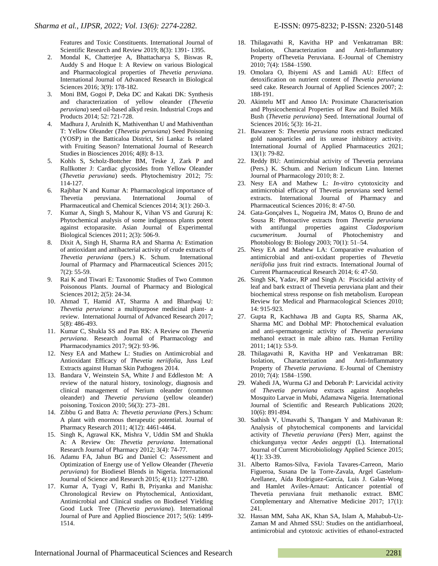Features and Toxic Constituents. International Journal of Scientific Research and Review 2019; 8(3): 1391- 1395.

- 2. Mondal K, Chatterjee A, Bhattacharya S, Biswas R, Auddy S and Hoque I: A Review on various Biological and Pharmacological properties of *Thevetia peruviana*. International Journal of Advanced Research in Biological Sciences 2016; 3(9): 178-182.
- 3. Moni BM, Gogoi P, Deka DC and Kakati DK: Synthesis and characterization of yellow oleander (*Thevetia peruviana*) seed oil-based alkyd resin. Industrial Crops and Products 2014; 52: 721-728.
- 4. Madhura J, Arulnith K, Mathiventhan U and Mathiventhan T: Yellow Oleander (*Thevetia peruviana*) Seed Poisoning (YOSP) in the Batticaloa District, Sri Lanka: Is related with Fruiting Season? International Journal of Research Studies in Biosciences 2016; 4(8): 8-13.
- 5. Kohls S, Scholz-Bottcher BM, Teske J, Zark P and Rullkotter J: Cardiac glycosides from Yellow Oleander (*Thevetia peruviana*) seeds. Phytochemistry 2012; 75: 114-127.
- 6. Rajbhar N and Kumar A: Pharmacological importance of Thevetia peruviana. International Journal of Pharmaceutical and Chemical Sciences 2014; 3(1): 260-3.
- 7. Kumar A, Singh S, Mahour K, Vihan VS and Gururaj K: Phytochemical analysis of some indigenous plants potent against ectoparasite. Asian Journal of Experimental Biological Sciences 2011; 2(3): 506-9.
- 8. Dixit A, Singh H, Sharma RA and Sharma A: Estimation of antioxidant and antibacterial activity of crude extracts of *Thevetia peruviana* (pers.) K. Schum. International Journal of Pharmacy and Pharmaceutical Sciences 2015; 7(2): 55-59.
- 9. Rai K and Tiwari E: Taxonomic Studies of Two Common Poisonous Plants. Journal of Pharmacy and Biological Sciences 2012; 2(5): 24-34.
- 10. Ahmad T, Hamid AT, Sharma A and Bhardwaj U: *Thevetia peruviana*: a multipurpose medicinal plant- a review. International Journal of Advanced Research 2017; 5(8): 486-493.
- 11. Kumar C, Shukla SS and Pan RK: A Review on *Thevetia peruviana*. Research Journal of Pharmacology and Pharmacodynamics 2017; 9(2): 93-96.
- 12. Nesy EA and Mathew L: Studies on Antimicrobial and Antioxidant Efficacy of *Thevetia neriifolia*, Juss Leaf Extracts against Human Skin Pathogens 2014.
- 13. Bandara V, Weinstein SA, White J and Eddleston M: A review of the natural history, toxinology, diagnosis and clinical management of Nerium oleander (common oleander) and *Thevetia peruviana* (yellow oleander) poisoning. Toxicon 2010; 56(3): 273–281.
- 14. Zibbu G and Batra A: *Thevetia peruviana* (Pers.) Schum: A plant with enormous therapeutic potential. Journal of Pharmacy Research 2011; 4(12): 4461-4464.
- 15. Singh K, Agrawal KK, Mishra V, Uddin SM and Shukla A: A Review On: *Thevetia peruviana*. International Research Journal of Pharmacy 2012; 3(4): 74-77.
- 16. Adamu FA, Jahun BG and Daniel C: Assessment and Optimization of Energy use of Yellow Oleander (*Thevetia peruviana*) for Biodiesel Blends in Nigeria. International Journal of Science and Research 2015; 4(11): 1277-1280.
- 17. Kumar A, Tyagi V, Rathi B, Priyanka and Manisha: Chronological Review on Phytochemical, Antioxidant, Antimicrobial and Clinical studies on Biodiesel Yielding Good Luck Tree (*Thevetia peruviana*). International Journal of Pure and Applied Bioscience 2017; 5(6): 1499- 1514.
- 18. Thilagavathi R, Kavitha HP and Venkatraman BR: Isolation, Characterization and Anti-Inflammatory Property ofThevetia Peruviana. E-Journal of Chemistry 2010; 7(4): 1584–1590.
- 19. Omolara O, Ibiyemi AS and Lamidi AU: Effect of detoxification on nutrient content of *Thevetia peruviana* seed cake. Research Journal of Applied Sciences 2007; 2: 188-191.
- 20. Akintelu MT and Amoo IA: Proximate Characterisation and Physicochemical Properties of Raw and Boiled Milk Bush (*Thevetia peruviana*) Seed. International Journal of Sciences 2016; 5(3): 16-21.
- 21. Bawazeer S: *Thevetia peruviana* roots extract medicated gold nanoparticles and its urease inhibitory activity. International Journal of Applied Pharmaceutics 2021; 13(1): 79-82.
- 22. Reddy BU: Antimicrobial activity of Thevetia peruviana (Pers.) K. Schum. and Nerium Indicum Linn. Internet Journal of Pharmacology 2010; 8: 2.
- 23. Nesy EA and Mathew L: *In-vitro* cytotoxicity and antimicrobial efficacy of Thevetia peruviana seed kernel extracts. International Journal of Pharmacy and Pharmaceutical Sciences 2016; 8: 47-50.
- 24. Gata-Gonçalves L, Nogueira JM, Matos O, Bruno de and Sousa R: Photoactive extracts from *Thevetia peruviana* with antifungal properties against *Cladosporium cucumerinum*. Journal of Photochemistry and Photobiology B: Biology 2003; 70(1): 51–54.
- 25. Nesy EA and Mathew LA: Comparative evaluation of antimicrobial and anti-oxidant properties of *Thevetia neriifolia* juss fruit rind extracts. International Journal of Current Pharmaceutical Research 2014; 6: 47-50.
- 26. Singh SK, Yadav, RP and Singh A: Piscicidal activity of leaf and bark extract of Thevetia peruviana plant and their biochemical stress response on fish metabolism. European Review for Medical and Pharmacological Sciences 2010; 14: 915-923.
- 27. Gupta R, Kachhawa JB and Gupta RS, Sharma AK, Sharma MC and Dobhal MP: Photochemical evaluation and anti-spermatogenic activity of *Thevetia peruviana* methanol extract in male albino rats. Human Fertility 2011; 14(1): 53-9.
- 28. Thilagavathi R, Kavitha HP and Venkatraman BR: Isolation, Characterization and Anti-Inflammatory Property of *Thevetia peruviana*. E-Journal of Chemistry 2010; 7(4): 1584–1590.
- 29. Wahedi JA, Wurma GJ and Deborah P: Larvicidal activity of *Thevetia peruviana* extracts against Anopheles Mosquito Larvae in Mubi, Adamawa Nigeria. International Journal of Scientific and Research Publications 2020; 10(6): 891-894.
- 30. Sathish V, Umavathi S, Thangam Y and Mathivanan R: Analysis of phytochemical components and larvicidal activity of *Thevetia peruviana* (Pers) Merr, against the chickungunya vector *Aedes aegypti* (L). International Journal of Current Microbioliology Applied Science 2015; 4(1): 33-39.
- 31. Alberto Ramos-Silva, Faviola Tavares-Carreon, Mario Figueroa, Susana De la Torre-Zavala, Argel Gastelum-Arellanez, Aída Rodríguez-García, Luis J. Galan-Wong and Hamlet Aviles-Arnaut: Anticancer potential of Thevetia peruviana fruit methanolic extract. BMC Complementary and Alternative Medicine 2017; 17(1): 241.
- 32. Hassan MM, Saha AK, Khan SA, Islam A, Mahabub-Uz-Zaman M and Ahmed SSU: Studies on the antidiarrhoeal, antimicrobial and cytotoxic activities of ethanol-extracted